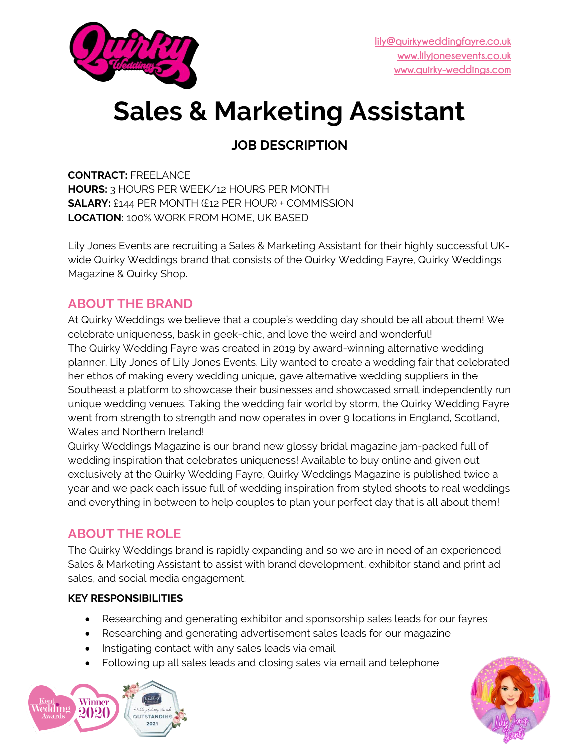

# **Sales & Marketing Assistant**

# **JOB DESCRIPTION**

**CONTRACT:** FREELANCE **HOURS:** 3 HOURS PER WEEK/12 HOURS PER MONTH **SALARY:** £144 PER MONTH (£12 PER HOUR) + COMMISSION **LOCATION:** 100% WORK FROM HOME, UK BASED

Lily Jones Events are recruiting a Sales & Marketing Assistant for their highly successful UKwide Quirky Weddings brand that consists of the Quirky Wedding Fayre, Quirky Weddings Magazine & Quirky Shop.

## **ABOUT THE BRAND**

At Quirky Weddings we believe that a couple's wedding day should be all about them! We celebrate uniqueness, bask in geek-chic, and love the weird and wonderful! The Quirky Wedding Fayre was created in 2019 by award-winning alternative wedding planner, Lily Jones of Lily Jones Events. Lily wanted to create a wedding fair that celebrated her ethos of making every wedding unique, gave alternative wedding suppliers in the Southeast a platform to showcase their businesses and showcased small independently run unique wedding venues. Taking the wedding fair world by storm, the Quirky Wedding Fayre went from strength to strength and now operates in over 9 locations in England, Scotland, Wales and Northern Ireland!

Quirky Weddings Magazine is our brand new glossy bridal magazine jam-packed full of wedding inspiration that celebrates uniqueness! Available to buy online and given out exclusively at the Quirky Wedding Fayre, Quirky Weddings Magazine is published twice a year and we pack each issue full of wedding inspiration from styled shoots to real weddings and everything in between to help couples to plan your perfect day that is all about them!

## **ABOUT THE ROLE**

The Quirky Weddings brand is rapidly expanding and so we are in need of an experienced Sales & Marketing Assistant to assist with brand development, exhibitor stand and print ad sales, and social media engagement.

#### **KEY RESPONSIBILITIES**

- Researching and generating exhibitor and sponsorship sales leads for our fayres
- Researching and generating advertisement sales leads for our magazine
- Instigating contact with any sales leads via email
- Following up all sales leads and closing sales via email and telephone



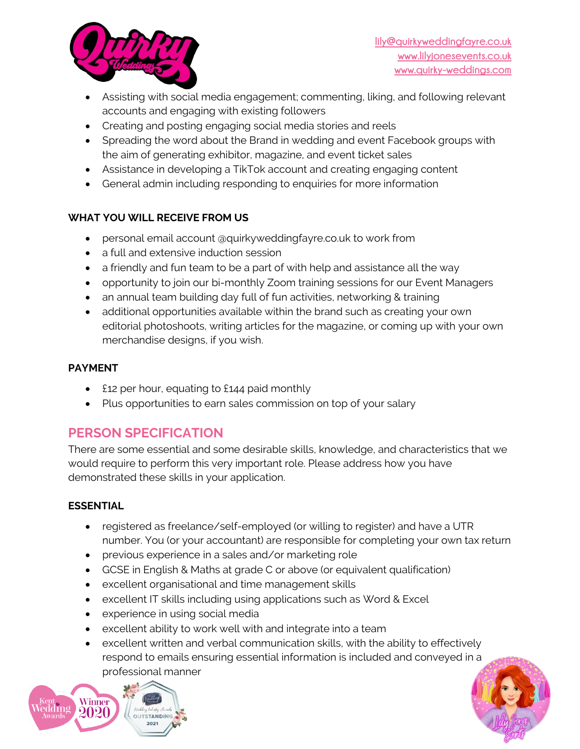

- Assisting with social media engagement; commenting, liking, and following relevant accounts and engaging with existing followers
- Creating and posting engaging social media stories and reels
- Spreading the word about the Brand in wedding and event Facebook groups with the aim of generating exhibitor, magazine, and event ticket sales
- Assistance in developing a TikTok account and creating engaging content
- General admin including responding to enquiries for more information

#### **WHAT YOU WILL RECEIVE FROM US**

- personal email account @quirkyweddingfayre.co.uk to work from
- a full and extensive induction session
- a friendly and fun team to be a part of with help and assistance all the way
- opportunity to join our bi-monthly Zoom training sessions for our Event Managers
- an annual team building day full of fun activities, networking & training
- additional opportunities available within the brand such as creating your own editorial photoshoots, writing articles for the magazine, or coming up with your own merchandise designs, if you wish.

#### **PAYMENT**

- £12 per hour, equating to £144 paid monthly
- Plus opportunities to earn sales commission on top of your salary

## **PERSON SPECIFICATION**

There are some essential and some desirable skills, knowledge, and characteristics that we would require to perform this very important role. Please address how you have demonstrated these skills in your application.

#### **ESSENTIAL**

- registered as freelance/self-employed (or willing to register) and have a UTR number. You (or your accountant) are responsible for completing your own tax return
- previous experience in a sales and/or marketing role
- GCSE in English & Maths at grade C or above (or equivalent qualification)
- excellent organisational and time management skills
- excellent IT skills including using applications such as Word & Excel
- experience in using social media
- excellent ability to work well with and integrate into a team
- excellent written and verbal communication skills, with the ability to effectively respond to emails ensuring essential information is included and conveyed in a professional manner